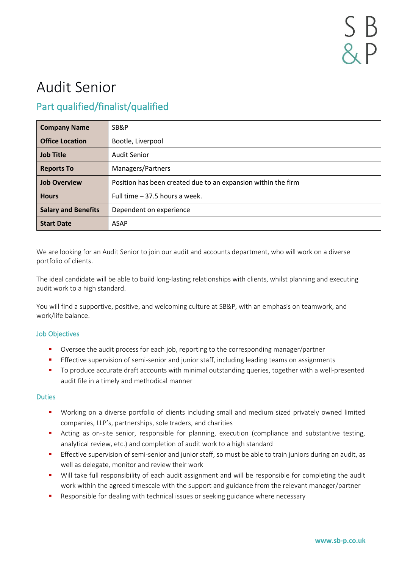# Audit Senior

## Part qualified/finalist/qualified

| <b>Company Name</b>        | SB&P                                                          |
|----------------------------|---------------------------------------------------------------|
| <b>Office Location</b>     | Bootle, Liverpool                                             |
| <b>Job Title</b>           | <b>Audit Senior</b>                                           |
| <b>Reports To</b>          | Managers/Partners                                             |
| <b>Job Overview</b>        | Position has been created due to an expansion within the firm |
| <b>Hours</b>               | Full time - 37.5 hours a week.                                |
| <b>Salary and Benefits</b> | Dependent on experience                                       |
| <b>Start Date</b>          | <b>ASAP</b>                                                   |

We are looking for an Audit Senior to join our audit and accounts department, who will work on a diverse portfolio of clients.

The ideal candidate will be able to build long-lasting relationships with clients, whilst planning and executing audit work to a high standard.

You will find a supportive, positive, and welcoming culture at SB&P, with an emphasis on teamwork, and work/life balance.

### Job Objectives

- Oversee the audit process for each job, reporting to the corresponding manager/partner
- **•** Effective supervision of semi-senior and junior staff, including leading teams on assignments
- To produce accurate draft accounts with minimal outstanding queries, together with a well-presented audit file in a timely and methodical manner

### Duties

- Working on a diverse portfolio of clients including small and medium sized privately owned limited companies, LLP's, partnerships, sole traders, and charities
- **E** Acting as on-site senior, responsible for planning, execution (compliance and substantive testing, analytical review, etc.) and completion of audit work to a high standard
- **Effective supervision of semi-senior and junior staff, so must be able to train juniors during an audit, as** well as delegate, monitor and review their work
- Will take full responsibility of each audit assignment and will be responsible for completing the audit work within the agreed timescale with the support and guidance from the relevant manager/partner
- **EXE** Responsible for dealing with technical issues or seeking guidance where necessary